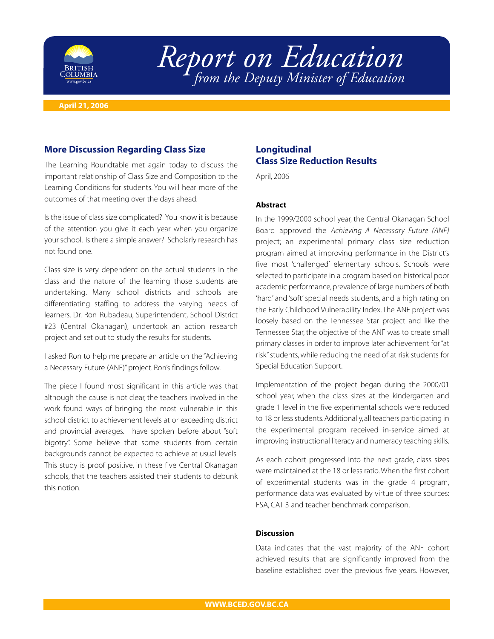

# *Report on Education from the Deputy Minister of Education*

**April 21, 2006**

### **More Discussion Regarding Class Size**

The Learning Roundtable met again today to discuss the important relationship of Class Size and Composition to the Learning Conditions for students. You will hear more of the outcomes of that meeting over the days ahead.

Is the issue of class size complicated? You know it is because of the attention you give it each year when you organize your school. Is there a simple answer? Scholarly research has not found one.

Class size is very dependent on the actual students in the class and the nature of the learning those students are undertaking. Many school districts and schools are differentiating staffing to address the varying needs of learners. Dr. Ron Rubadeau, Superintendent, School District #23 (Central Okanagan), undertook an action research project and set out to study the results for students.

I asked Ron to help me prepare an article on the "Achieving a Necessary Future (ANF)" project. Ron's findings follow.

The piece I found most significant in this article was that although the cause is not clear, the teachers involved in the work found ways of bringing the most vulnerable in this school district to achievement levels at or exceeding district and provincial averages. I have spoken before about "soft bigotry". Some believe that some students from certain backgrounds cannot be expected to achieve at usual levels. This study is proof positive, in these five Central Okanagan schools, that the teachers assisted their students to debunk this notion.

## **Longitudinal Class Size Reduction Results**

April, 2006

#### **Abstract**

In the 1999/2000 school year, the Central Okanagan School Board approved the *Achieving A Necessary Future (ANF)* project; an experimental primary class size reduction program aimed at improving performance in the District's five most 'challenged' elementary schools. Schools were selected to participate in a program based on historical poor academic performance, prevalence of large numbers of both 'hard' and 'soft' special needs students, and a high rating on the Early Childhood Vulnerability Index.The ANF project was loosely based on the Tennessee Star project and like the Tennessee Star, the objective of the ANF was to create small primary classes in order to improve later achievement for "at risk" students, while reducing the need of at risk students for Special Education Support.

Implementation of the project began during the 2000/01 school year, when the class sizes at the kindergarten and grade 1 level in the five experimental schools were reduced to 18 or less students.Additionally, all teachers participating in the experimental program received in-service aimed at improving instructional literacy and numeracy teaching skills.

As each cohort progressed into the next grade, class sizes were maintained at the 18 or less ratio.When the first cohort of experimental students was in the grade 4 program, performance data was evaluated by virtue of three sources: FSA, CAT 3 and teacher benchmark comparison.

#### **Discussion**

Data indicates that the vast majority of the ANF cohort achieved results that are significantly improved from the baseline established over the previous five years. However,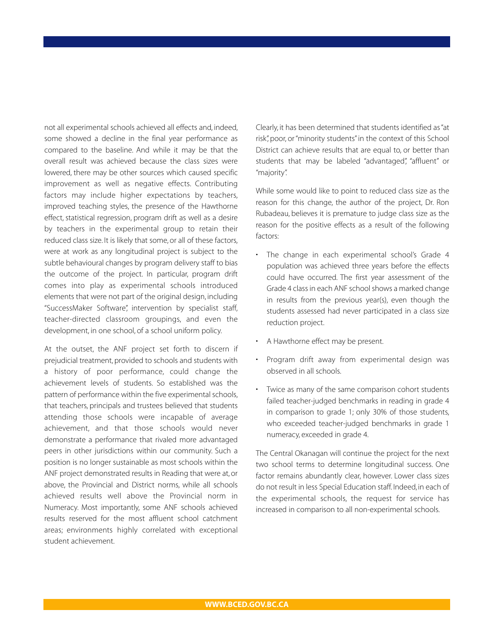not all experimental schools achieved all effects and, indeed, some showed a decline in the final year performance as compared to the baseline. And while it may be that the overall result was achieved because the class sizes were lowered, there may be other sources which caused specific improvement as well as negative effects. Contributing factors may include higher expectations by teachers, improved teaching styles, the presence of the Hawthorne effect, statistical regression, program drift as well as a desire by teachers in the experimental group to retain their reduced class size. It is likely that some, or all of these factors, were at work as any longitudinal project is subject to the subtle behavioural changes by program delivery staff to bias the outcome of the project. In particular, program drift comes into play as experimental schools introduced elements that were not part of the original design, including "SuccessMaker Software", intervention by specialist staff, teacher-directed classroom groupings, and even the development, in one school, of a school uniform policy.

At the outset, the ANF project set forth to discern if prejudicial treatment, provided to schools and students with a history of poor performance, could change the achievement levels of students. So established was the pattern of performance within the five experimental schools, that teachers, principals and trustees believed that students attending those schools were incapable of average achievement, and that those schools would never demonstrate a performance that rivaled more advantaged peers in other jurisdictions within our community. Such a position is no longer sustainable as most schools within the ANF project demonstrated results in Reading that were at, or above, the Provincial and District norms, while all schools achieved results well above the Provincial norm in Numeracy. Most importantly, some ANF schools achieved results reserved for the most affluent school catchment areas; environments highly correlated with exceptional student achievement.

Clearly, it has been determined that students identified as "at risk", poor, or "minority students" in the context of this School District can achieve results that are equal to, or better than students that may be labeled "advantaged", "affluent" or "majority".

While some would like to point to reduced class size as the reason for this change, the author of the project, Dr. Ron Rubadeau, believes it is premature to judge class size as the reason for the positive effects as a result of the following factors:

- The change in each experimental school's Grade 4 population was achieved three years before the effects could have occurred. The first year assessment of the Grade 4 class in each ANF school shows a marked change in results from the previous year(s), even though the students assessed had never participated in a class size reduction project.
- A Hawthorne effect may be present.
- Program drift away from experimental design was observed in all schools.
- Twice as many of the same comparison cohort students failed teacher-judged benchmarks in reading in grade 4 in comparison to grade 1; only 30% of those students, who exceeded teacher-judged benchmarks in grade 1 numeracy, exceeded in grade 4.

The Central Okanagan will continue the project for the next two school terms to determine longitudinal success. One factor remains abundantly clear, however. Lower class sizes do not result in less Special Education staff. Indeed, in each of the experimental schools, the request for service has increased in comparison to all non-experimental schools.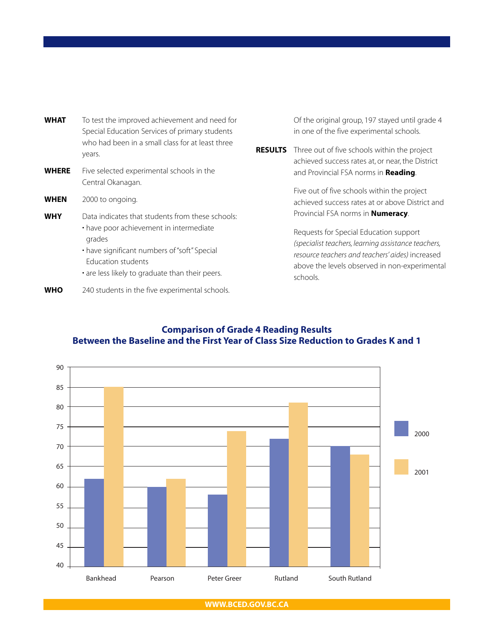| <b>WHAT</b>  | To test the improved achievement and need for<br>Special Education Services of primary students<br>who had been in a small class for at least three<br>years.                                                                  | RE. |
|--------------|--------------------------------------------------------------------------------------------------------------------------------------------------------------------------------------------------------------------------------|-----|
| <b>WHERE</b> | Five selected experimental schools in the<br>Central Okanagan.                                                                                                                                                                 |     |
| <b>WHEN</b>  | 2000 to ongoing.                                                                                                                                                                                                               |     |
| <b>WHY</b>   | Data indicates that students from these schools:<br>• have poor achievement in intermediate<br>grades<br>• have significant numbers of "soft" Special<br>Education students<br>• are less likely to graduate than their peers. |     |
|              |                                                                                                                                                                                                                                |     |

**WHO** 240 students in the five experimental schools.

Of the original group, 197 stayed until grade 4 in one of the five experimental schools.

**SULTS** Three out of five schools within the project achieved success rates at, or near, the District and Provincial FSA norms in **Reading**.

> Five out of five schools within the project achieved success rates at or above District and Provincial FSA norms in **Numeracy**.

Requests for Special Education support *(specialist teachers, learning assistance teachers, resource teachers and teachers' aides)* increased above the levels observed in non-experimental schools.

# **Comparison of Grade 4 Reading Results Between the Baseline and the First Year of Class Size Reduction to Grades K and 1**



**WWW.BCED.GOV.BC.CA**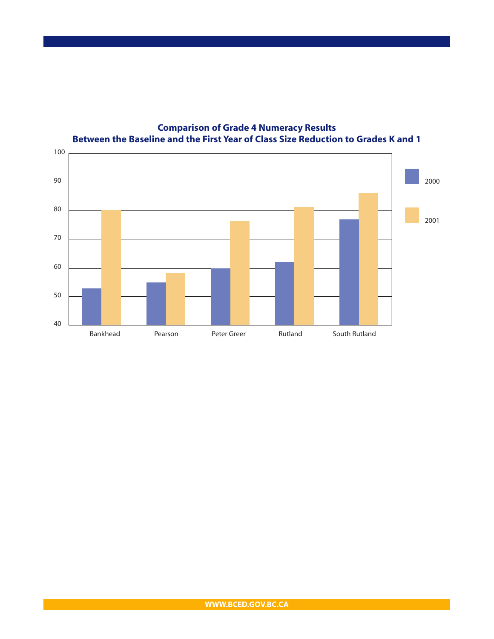

## **Comparison of Grade 4 Numeracy Results Between the Baseline and the First Year of Class Size Reduction to Grades K and 1**